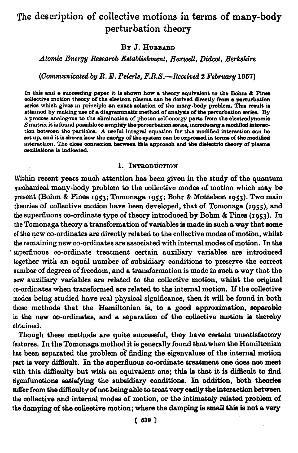# The description of collective motions in terms of many-body perturbation theory

# **Ry J. Hunnan**

### Atomic Energy Research Establishment, Harwell, Didcot, Berkshire

# (Communicated by R. E. Peierls, F.R.S.-Received 2 February 1957)

In this and a succeeding paper it is shown how a theory equivalent to the Bohm & Pines collective motion theory of the electron plasma can be derived directly from a perturbation series which gives in principle an exact solution of the many-body problem. This result is attained by making use of a diagrammatic method of analysis of the perturbation series. By attained by making use of a diagrammation income of many as we present and contract of the electrodynamic S matrix it is found possible to simplify the perturbation series, introducing a modified interaction between the particles. A useful integral equation for this modified interaction can be set up, and it is shown how the energy of the system can be expressed in terms of the modified interaction. The close connexion between this approach and the dielectric theory of plasma necillations is indicated.

### 1. INTRODUCTION

Within recent years much attention has been given in the study of the quantum mechanical many-body problem to the collective modes of motion which may be present (Bohm & Pines 1053; Tomonaga 1055; Bohr & Mottelson 1053). Two main theories of collective motion have been developed, that of Tomonaga (1055), and the superfluous co-ordinate type of theory introduced by Bohm & Pines (1953). In the Tomonaga theory a transformation of variables is made in such a way that some of the new co-ordinates are directly related to the collective modes of motion, whilst the remaining new co-ordinates are associated with internal modes of motion. In the superfluous co-ordinate treatment certain auxiliary variables are introduced together with an equal number of subsidiary conditions to preserve the correct number of degrees of freedom, and a transformation is made in such a way that the new auxiliary variables are related to the collective motion, whilst the original m-ordinates when transformed are related to the internal motion. If the collective modes being studied have real physical significance, then it will be found in both these methods that the Hamiltonian is, to a good approximation, separable in the new co-ordinates, and a separation of the collective motion is thereby chtained.

Though these methods are quite successful, they have certain unsatisfactory features. In the Tomonaga method it is generally found that when the Hamiltonian has been separated the problem of finding the eigenvalues of the internal motion part is very difficult. In the superfluous co-ordinate treatment one does not meet with this difficulty but with an equivalent one: this is that it is difficult to find eigenfunctions satisfying the subsidiary conditions. In addition, both theories suffer from the difficulty of not being able to treat very easily the interaction between the collective and internal modes of motion, or the intimately related problem of the damping of the collective motion; where the damping is small this is not a very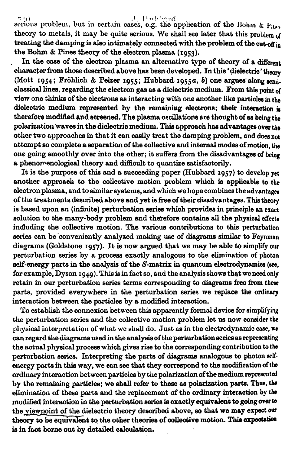$\frac{1}{2}$  and  $\frac{1}{2}$  in the problem, but in certain cases, e.g. the application of the Bohm & Final theory to metals, it may be quite serious. We shall see later that this problem of treating the damping is also intimately connected with the problem of the cut-off in the Bohm & Pines theory of the electron plasma (1052).

In the case of the electron plasma an alternative type of theory of a different character from those described above has been developed. In this 'dielectric' theory (Mott 1054: Fröhlich & Pelzer 1055: Hubbard 1055a, b) one argues along semiclassical lines. recarding the electron gas as a dielectric medium. From this point of view one thinks of the electrons as interacting with one another like particles in the dielectric medium represented by the remaining electrons: their interaction is therefore modified and screened. The plasma oscillations are thought of as being the polarization waves in the dielectric medium. This approach has advantages over the other two approaches in that it can easily treat the damping problem, and does not attempt so complete a separation of the collective and internal modes of motion, the one going smoothly over into the other: it suffers from the disadvantages of being a phenomenological theory and difficult to quantize satisfactorily.

It is the purpose of this and a succeeding paper (Hubbard 1957) to develop vet another approach to the collective motion problem which is applicable to the electron plasma, and to similar systems, and which we hope combines the advantages of the treatments described above and yet is free of their disadvantages. This theory is based upon an (infinite) perturbation series which provides in principle an exact solution to the many-body problem and therefore contains all the physical effects including the collective motion. The various contributions to this perturbation series can be conveniently analyzed making use of diagrams similar to Feynman diagrams (Goldstone 1957). It is now argued that we may be able to simplify our perturbation series by a process exactly analogous to the elimination of photon  $\frac{1}{2}$  self-energy parts in the analysis of the *S*-matrix in quantum electrodynamics (see. for example. Dyson 1949). This is in fact so, and the analysis shows that we need only retain in our perturbation series terms corresponding to diagrams free from these parts, provided everywhere in the perturbation series we replace the ordinary interaction between the particles by a modified interaction.

To establish the connexion between this apparently formal device for simplifying the perturbation series and the collective motion problem let us now consider the physical interpretation of what we shall do. Just as in the electrodynamic case, we can regard the diagrams used in the analysis of the perturbation series as representing the actual physical process which gives rise to the corresponding contribution to the perturbation series. Interpreting the parts of diagrams analogous to photon selfenergy parts in this way, we can see that they correspond to the modification of the ordinary interaction between particles by the polarization of the medium represented by the remaining particles; we shall refer to these as polarization parts. Thus, the elimination of these parts and the replacement of the ordinary interaction by the modified interaction in the perturbation series is exactly equivalent to going over to the viewpoint of the dielectric theory described above, so that we may expect our theory to be equivalent to the other theories of collective motion. This expectation is in fact borne out by detailed calculation.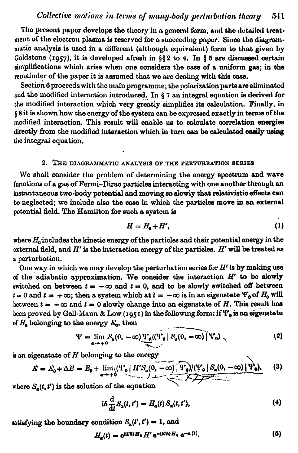#### Collective motions in terms of many-body perturbation theory 541

The present paper develops the theory in a general form, and the detailed treatment of the electron plasma is reserved for a succeeding paper. Since the diagrammatic analysis is used in a different (although equivalent) form to that given by Goldstone (1957), it is developed afresh in  $\S 2$  to 4. In  $\S 5$  are discussed certain  $\frac{1}{2}$  singletions which arise when one considers the case of a uniform gas: in the remainder of the paper it is assumed that we are dealing with this case.

Section 6 proceeds with the main programme: the polarization parts are eliminated and the modified interaction introduced. In 8.7 an integral equation is derived for the modified interaction which very greatly simplifies its calculation. Finally, in s sit is shown how the energy of the system can be expressed exactly in terms of the modified interaction. This result will enable us to calculate correlation energies directly from the modified interaction which in turn can be calculated easily using the integral equation.

### 2. THE DIAGRAMMATIC ANALYSIS OF THE PERTITRATION SERIES.

We shall consider the problem of determining the energy spectrum and wave functions of a gas of Fermi-Dirac particles interacting with one another through an instantaneous two-body potential and moving so slowly that relativistic effects can be neglected: we include also the case in which the particles move in an external notential field. The Hamilton for such a system is

$$
H = H_0 + H', \tag{1}
$$

where  $H_0$  includes the kinetic energy of the particles and their potential energy in the  $ext{remal field.}$  and  $H'$  is the interaction energy of the particles.  $H'$  will be treated as a nerturbation.

One way in which we may develop the perturbation series for  $H'$  is by making use of the adiabatic approximation. We consider the interaction  $H'$  to be slowly switched on between  $t = -\infty$  and  $t = 0$ , and to be slowly switched off between  $l = 0$  and  $t = +\infty$ ; then a system which at  $t = -\infty$  is in an eigenstate  $\Psi_{\alpha}$  of  $H_{\alpha}$  will between  $t = -\infty$  and  $t = 0$  slowly change into an eigenstate of H. This result has been proved by Gell-Mann & Low (1951) in the following form: if  $\Psi_a$  is an eigenstate of  $H_0$  belonging to the energy  $E_0$ , then

$$
\Psi = \lim_{\alpha \to +0} S_{\alpha}(0, -\infty) \underbrace{\Psi_{\alpha}(\Psi_{\alpha} \mid S_{\alpha}(0, -\infty))} \Psi_{\alpha}(\Psi_{\alpha}) \tag{2}
$$

is an eigenstate of  $H$  belonging to the energy

$$
E = E_0 + \Delta E = E_0 + \lim_{a \to +0} \left( \frac{V_0}{V_0} \left[ \frac{H'S_a(0, -\infty)}{V_0} \right] \left( \frac{V_0}{V_0} \right] S_a(0, -\infty) \left[ \frac{V_0}{V_0} \right],
$$
 (3)

where  $S_n(t, t')$  is the solution of the equation

$$
i\hbar \frac{\mathrm{d}}{\mathrm{d}t} S_a(t,t') = H_a(t) S_a(t,t'),\tag{4}
$$

satisfying the boundary condition  $S_a(t',t') = 1$ , and

$$
H_{\alpha}(t) = e^{i(\mu/\hbar)H_{0}}H' e^{-i(\mu/\hbar)H_{0}} e^{-\alpha|t|}. \qquad (5)
$$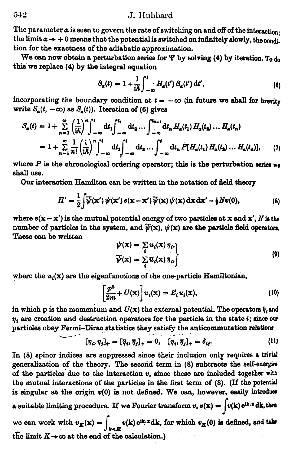### J. Hubbard

The parameter  $\alpha$  is seen to govern the rate of switching on and off of the interaction. the limit  $\alpha \rightarrow +0$  means that the potential is switched on infinitely slowly, the condition for the exactness of the adjabatic approximation.

We can now obtain a perturbation series for Y by solving (4) by iteration. To do this we replace (4) by the integral equation

$$
S_{a}(t) = 1 + \frac{1}{i\hbar} \int_{-\infty}^{t} H_{a}(t') S_{a}(t') dt', \qquad (6)
$$

incorporating the boundary condition at  $t = -\infty$  (in future we shall for brevity write  $S_1(t, -\infty)$  as  $S_1(t)$ ). Iteration of  $(6)$  gives

$$
S_{a}(t) = 1 + \sum_{n=1}^{\infty} \left( \frac{1}{tR} \right)^{n} \int_{-\infty}^{t} dt_{1} \int_{-\infty}^{t} dt_{1} \cdots \int_{-\infty}^{t_{n-1}} dt_{n} H_{a}(t_{1}) H_{a}(t_{1}) \cdots H_{a}(t_{n})
$$
  
=  $1 + \sum_{n=1}^{\infty} \frac{1}{n!} \left( \frac{1}{tR} \right)^{n} \int_{-\infty}^{t} dt_{1} \cdots \int_{-\infty}^{t} dt_{n} \cdot \int_{t}^{t} dt_{n} \cdot \mathcal{F}(H_{a}(t_{1}) H_{a}(t_{2}) \cdots H_{a}(t_{n})],$  (7)

where  $P$  is the chronological ordering operator; this is the perturbation series we shall use

Our interaction Hamilton can be written in the notation of field theory

$$
H' = \frac{1}{2} \int \overline{\psi}(\mathbf{x}') \psi(\mathbf{x}') v(\mathbf{x} - \mathbf{x}') \overline{\psi}(\mathbf{x}) \psi(\mathbf{x}) \, \mathrm{d}\mathbf{x} \, \mathrm{d}\mathbf{x}' - \frac{1}{2} N v(0), \tag{8}
$$

where  $v(x-x')$  is the mutual potential energy of two particles at x and x'. N is the number of particles in the system, and  $\overline{\psi}(\mathbf{x})$ ,  $\psi(\mathbf{x})$  are the particle field operators. These can be written

$$
\psi(x) = \sum_{i} u_i(x) \eta_i, \n\overline{\psi}(x) = \sum_{i} \overline{u}_i(x) \overline{\eta}_i,
$$
\n(9)

where the  $u_i(x)$  are the eigenfunctions of the one-particle Hamiltonian,

$$
\left[\frac{p^2}{2m} + U(\mathbf{x})\right]u_i(\mathbf{x}) = E_i u_i(\mathbf{x}),\tag{10}
$$

in which p is the momentum and  $U(x)$  the external potential. The operators  $\bar{n}$  and  $v$  are creation and destruction operators for the particle in the state i: since our particles obey Fermi-Dirac statistics they satisfy the anticommutation relations

$$
[\eta_i, \eta_j]_+ = [\overline{\eta}_i, \overline{\eta}_j]_+ = 0, \quad [\eta_i, \overline{\eta}_j]_+ = \delta_{ij}.
$$
 (1)

In (8) spinor indices are suppressed since their inclusion only requires a trivial generalization of the theory. The second term in (8) subtracts the self-energies of the particles due to the interaction  $v$ , since these are included together with the mutual interactions of the particles in the first term of (8). (If the potential is singular at the origin  $v(0)$  is not defined. We can, however, easily introduce a suitable limiting procedure. If we Fourier transform  $v, v(x) = \int v(k) e^{ik \cdot x} dk$ , thes we can work with  $v_K(\mathbf{x}) = \int_{\mathbf{k} \leq \mathbf{x}} v(\mathbf{k}) e^{i\mathbf{k} \cdot \mathbf{x}} d\mathbf{k}$ , for which  $v_K(0)$  is defined, and take the limit  $K \to \infty$  at the end of the calculation.)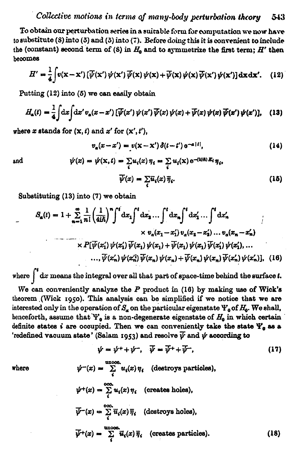#### Collective motions in terms of manu-body perturbation theory 543

To obtain our perturbation series in a suitable form for computation we now have to substitute (S) into (5) and (5) into (7). Before doing this it is convenient to include the (constant) second term of  $(S)$  in  $H$ , and to symmetrize the first term:  $H'$  then hennmes

$$
H' = \frac{1}{4} \int v(x-x') \left[ \overline{\psi}(x') \psi(x') \overline{\psi}(x) \psi(x) + \overline{\psi}(x) \psi(x) \overline{\psi}(x') \psi(x') \right] dx dx'. \quad (12)
$$

Putting (12) into (5) we can easily obtain

$$
H_{\alpha}(t) = \frac{1}{4} \int dx' \int dx' v_{\alpha}(x - x') \left[ \overline{\psi}(x') \psi(x') \overline{\psi}(x) \psi(x) + \overline{\psi}(x) \psi(x) \overline{\psi}(x') \psi(x') \right], \quad (13)
$$

where  $x$  stands for  $(x, t)$  and  $x'$  for  $(x', t')$ .

$$
v_{\alpha}(x-x') = v(x-x')\,\delta(t-t')\,\mathrm{e}^{-\alpha|t|},\tag{14}
$$

and

$$
(x) = \psi(\mathbf{x}, t) = \sum_{i} u_i(x) \eta_i = \sum_{i} u_i(\mathbf{x}) e^{-(U/\hbar) E_i} \eta_i,
$$
  

$$
\overline{\psi}(x) = \sum_{i} \overline{u}_i(x) \overline{\eta}_i.
$$
 (15)

Substituting (13) into (7) we obtain

ψ

$$
S_{\alpha}(t) = 1 + \sum_{n=1}^{\infty} \frac{1}{n!} \left(\frac{1}{4ik}\right)^{n} \int^{t} dx_{1} \int^{t} dx_{2} \dots \int^{t} dx_{n} \int^{t} dx'_{1} \dots \int^{t} dx'_{n}
$$
  
\n
$$
\times v_{\alpha}(x_{1} - x'_{1}) v_{\alpha}(x_{2} - x'_{2}) \dots v_{\alpha}(x_{n} - x'_{n})
$$
  
\n
$$
\times P(\overline{\psi}(x'_{1}) \psi'(x'_{1}) \overline{\psi}(x_{1}) \psi(x_{1}) + \overline{\psi}(x_{1}) \overline{\psi}(x'_{1}) \psi(x'_{1}) \dots
$$
  
\n
$$
\dots, \overline{\psi}(x'_{n}) \psi(x'_{n}) \overline{\psi}(x_{n}) \psi(x_{n}) + \overline{\psi}(x_{n}) \psi(x_{n}) \overline{\psi}(x'_{n}) \psi(x'_{n})
$$
 (16)

where  $\int_0^t dx$  means the integral over all that part of space-time behind the surface  $t$ .

We can conveniently analyze the  $P$  product in (16) by making use of Wick's theorem (Wick 1950). This analysis can be simplified if we notice that we are interested only in the operation of  $S_n$  on the particular eigenstate  $Y_{\alpha}$  of  $H_{\alpha}$ . We shall, henceforth, assume that  $\Psi_a$  is a non-degenerate eigenstate of  $H_a$  in which certain definite states  $i$  are occupied. Then we can conveniently take the state  $Y_a$  as a 'redefined vacuum state' (Salam 1953) and resolve  $\overline{\psi}$  and  $\psi$  according to

$$
\psi = \psi^+ + \psi^-, \quad \overline{\psi} = \overline{\psi}^+ + \overline{\psi}^-, \tag{17}
$$

$$
_{\rm where}
$$

$$
\psi^{-}(x) = \sum_{\ell}^{\text{unco}} u_{\ell}(x) \eta_{\ell} \quad \text{(destroys particles)},
$$
\n
$$
\psi^{+}(x) = \sum_{\ell}^{\text{con}} u_{\ell}(x) \eta_{\ell} \quad \text{(orates holes)},
$$
\n
$$
\overline{\psi}^{-}(x) = \sum_{\ell}^{\text{con}} \overline{u}_{\ell}(x) \overline{\eta}_{\ell} \quad \text{(destroys holes)},
$$
\n
$$
\overline{\psi}^{+}(x) = \sum_{\ell}^{\text{uncoars}} \overline{u}_{\ell}(x) \overline{\eta}_{\ell} \quad \text{(orates particles)}.
$$
\n(18)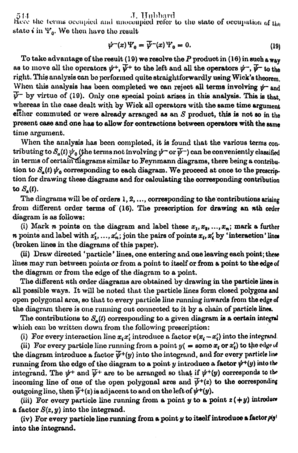# J. Hubbard

 $544$   $$\rm J$$  -Hubbard Here the terms occupied and unoccupied refer to the state of occupation of the state  $i$  in  $\Psi_{\alpha}$ . We then have the result

$$
\psi^-(x)\,\Psi_0 = \overline{\psi}^-(x)\,\Psi_0 = 0.\tag{19}
$$

To take advantage of the result (19) we resolve the  $P$  product in (16) in such a way as to move all the operators  $\vec{w}^+$ ,  $\vec{w}^+$  to the left and all the operators  $\vec{w}^-$ ,  $\vec{w}^-$  to the right. This analysis can be performed quite straightforwardly using Wick's theorem When this analysis has been completed we can reject all terms involving  $\psi$ -and  $\overline{V}$  by virtue of (19). Only one special point arises in this analysis. This is that whereas in the case dealt with by Wick all operators with the same time argument efther commuted or were already arranged as an  $S$  product, this is not so in the present case and one has to allow for contractions between operators with the same time argument.

When the analysis has been completed, it is found that the various terms contributing to  $S_n(t)$   $\psi_n$  (the terms not involving  $\psi$ <sup>-</sup> or  $\overline{\psi}$ -) can be conveniently classified in terms of certain diagrams similar to Feynmann diagrams, there being a contribution to  $S_n(t)$   $\psi_n$  corresponding to each diagram. We proceed at once to the prescription for drawing these diagrams and for calculating the corresponding contribution to  $S_n(t)$ .

The diagrams will be of orders 1, 2, ..., corresponding to the contributions arising from different order terms of (16). The prescription for drawing an ath order diagram is as follows:

(i) Mark *n* points on the diagram and label these  $x_1, x_2, ..., x_n$ ; mark a further *n* points and label with  $x'_1, ..., x'_n$ ; join the pairs of points  $x_i, x'_i$  by 'interaction' lines (broken lines in the diagrams of this paper).

(ii) Draw directed 'particle' lines, one entering and one leaving each point; these lines may run between points or from a point to itself or from a point to the edge of the diagram or from the edge of the diagram to a point.

The different *nth* order diagrams are obtained by drawing in the particle lines in all possible ways. It will be noted that the particle lines form closed polygons and open polygonal arcs, so that to every particle line running inwards from the edge of the diagram there is one running out connected to it by a chain of particle lines.

The contributions to  $S_n(t)$  corresponding to a given diagram is a certain integral which can be written down from the following prescription:

(i) For every interaction line  $x_i x'_i$  introduce a factor  $v(x_i - x'_i)$  into the integrand.

(ii) For every particle line running from a point  $y( = \text{some } x_i \text{ or } x_i)$  to the edge of the diagram introduce a factor  $\overline{\Psi}+(y)$  into the integrand, and for every particle line running from the edge of the diagram to a point y introduce a factor  $\psi^{+}(y)$  into the integrand. The  $\psi^+$  and  $\overline{\psi}^+$  are to be arranged so that if  $\psi^+(y)$  corresponds to the incoming line of one of the open polygonal arcs and  $\overline{V}^{\pm}(z)$  to the corresponding outgoing line, then  $\overline{\psi}$ <sup>+</sup>(z) is adjacent to and on the left of  $\psi$ <sup>+</sup>(y).

(iii) For every particle line running from a point  $y$  to a point  $z$  (+y) introduce a factor  $S(z, y)$  into the integrand.

(iv) For every particle line running from a point  $y$  to itself introduce a factor  $\rho y'$ into the integrand.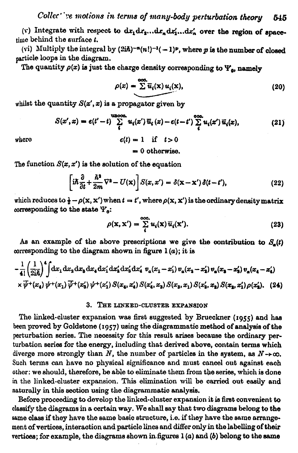Collective motions in terms of manu-body perturbation theory **5.15** 

 $(r)$  Integrate with respect to  $dx_1 dx_2...dx_n dx'_n...dx'_n$  over the region of spacetime behind the surface t

(vi) Multiply the integral by  $(2i\hbar)^{-n}(n!)^{-1}(-1)^p$ , where p is the number of closed particle loops in the diagram.

The quantity  $\rho(x)$  is just the charge density corresponding to  $\Psi_n$ , namely

$$
\rho(x) = \sum_{i} \widetilde{u}_i(x) u_i(x), \qquad (20)
$$

whilst the quantity  $S(x',x)$  is a propagator given by

$$
S(x',x) = \epsilon(t'-t) \sum_{\ell}^{00000} u_{\ell}(x') \overline{u}_{\ell}(x) - \epsilon(t-t') \sum_{\ell}^{000} u_{\ell}(x') \overline{u}_{\ell}(x),
$$
\n(21)

where

= 0 otherwise.

The function  $S(x, x')$  is the solution of the equation

$$
\left[i\hbar\frac{\partial}{\partial t} + \frac{\hbar^2}{2m}\nabla^2 - U(\mathbf{x})\right]S(x, x') = \delta(\mathbf{x} - \mathbf{x}')\,\delta(t - t'),\tag{22}
$$

which reduces to  $\frac{1}{2} - \rho(x, x')$  when  $t = t'$ , where  $\rho(x, x')$  is the ordinary density matrix corresponding to the state Y<sub>o</sub>:

$$
\rho(\mathbf{x}, \mathbf{x}') = \sum_{i}^{\infty} u_i(\mathbf{x}) \, \overline{u}_i(\mathbf{x}'). \tag{23}
$$

As an example of the above prescriptions we give the contribution to  $S_n(t)$ corresponding to the diagram shown in figure  $1(a)$ : it is

$$
-\frac{1}{4!}\left(\frac{1}{2i\hbar}\right)^4\int dx_1 dx_2 dx_3 dx_4 dx_1' dx_3' dx_4' v_4(x_1 - x_1') v_4(x_2 - x_2') v_4(x_3 - x_3') v_4(x_4 - x_4') \times \bar{\psi}^+(x_4) \psi^+(x_1') \bar{\psi}^+(x_2') \delta(x_4, x_3') \delta(x_4', x_4') \delta(x_5, x_1) \delta(x_3', x_3') \delta(x_4, x_4') \rho(x_4').
$$
 (24)

### 3. THE LINKED-CLUSTER EXPANSION

The linked-cluster expansion was first suggested by Brueckner (1955) and has been proved by Goldstone (1057) using the diagrammatic method of analysis of the perturbation series. The necessity for this result arises because the ordinary perturbation series for the energy, including that derived above, contain terms which diverge more strongly than N, the number of particles in the system, as  $N \rightarrow \infty$ . Such terms can have no physical significance and must cancel out against each other: we should, therefore, be able to eliminate them from the series, which is done in the linked-cluster expansion. This elimination will be carried out easily and naturally in this section using the diagrammatic analysis.

Before proceeding to develop the linked-cluster expansion it is first convenient to classify the diagrams in a certain way. We shall say that two diagrams belong to the same class if they have the same basic structure, i.e. if they have the same arrangement of vertices, interaction and particle lines and differ only in the labelling of their vertices: for example, the diagrams shown in figures  $1(a)$  and  $(b)$  belong to the same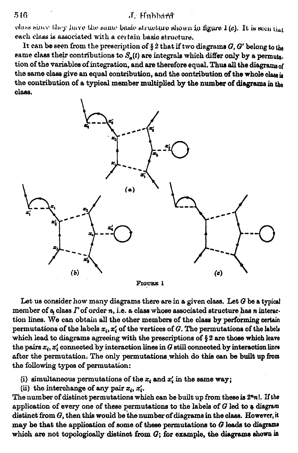class since they have the same basic structure shown in figure 1(c). It is seen that each class is associated with a certain hasic structure.

It can be seen from the prescription of  $\S$  2 that if two diagrams  $G$ ,  $G'$  belong to the same class their contributions to  $S_i(t)$  are integrals which differ only by a nermute tion of the variables of integration, and are therefore equal. Thus all the diagrams of the same class give an equal contribution, and the contribution of the whole class is the contribution of a typical member multiplied by the number of diagrams in the alase.



Let us consider how many diagrams there are in a given class. Let  $G$  be a typical member of a class  $\Gamma$  of order  $n$ , i.e. a class whose associated structure has n interaction lines. We can obtain all the other members of the class by performing certain permutations of the labels  $x_i, x_i'$  of the vertices of  $G$ . The permutations of the labels which lead to diagrams agreeing with the prescriptions of \$2 are those which leave the pairs  $x_i, x_i'$  connected by interaction lines in  $G$  still connected by interaction lines after the permutation. The only permutations which do this can be built up from the following types of permutation:

- (i) simultaneous permutations of the x, and x' in the same way;
- (ii) the interchange of any pair  $x_i$ ,  $x'_i$ ,

The number of distinct permutations which can be built up from these is 2nn!. If the application of every one of these permutations to the labels of  $G$  led to a diagram distinct from  $G$ , then this would be the number of diagrams in the class. However, it may be that the application of some of these permutations to  $G$  leads to diagrams which are not topologically distinct from  $G$ ; for example, the diagrams shown in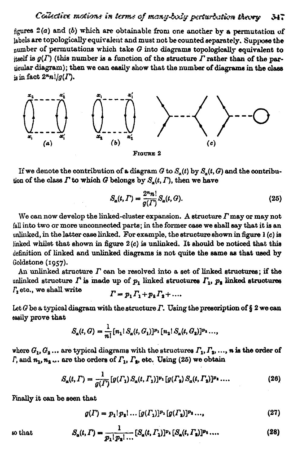#### Collective motions in terms of monu-body perturbation theory 347

 $f_{\text{amres}}$   $2(a)$  and  $(b)$  which are obtainable from one another by a permutation of labels are topologically equivalent and must not be counted separately. Suppose the  $\alpha$  mmber of permutations which take  $G$  into diagrams topologically equivalent to  $\frac{1}{2}$  is  $g(\Gamma)$  (this number is a function of the structure  $\Gamma$  rather than of the particular diagram): then we can easily show that the number of diagrams in the class  $\sum_{i=1}^{n} \frac{1}{i}$  fact  $2^{n}n!/n!$ 



If we denote the contribution of a diagram  $G$  to  $S_n(t)$  by  $S_n(t, G)$  and the contribution of the class  $\Gamma$  to which  $G$  belongs by  $S_n(t, \Gamma)$ , then we have

$$
S_a(t, \Gamma) = \frac{2^n n!}{g(\Gamma)} S_a(t, G).
$$
 (25)

We can now develop the linked-cluster expansion. A structure  $\Gamma$  may or may not fall into two or more unconnected parts: in the former case we shall say that it is an unlinked, in the latter case linked. For example, the structure shown in figure 1(c) is  $linked$  whilst that shown in figure  $2(c)$  is unlinked. It should be noticed that this definition of linked and unlinked diagrams is not quite the same as that used by Goldstone (1057).

An unlinked structure  $\Gamma$  can be resolved into a set of linked structures; if the unlinked structure  $\Gamma$  is made up of  $p$ . linked structures  $\Gamma$ .  $p$ . linked structures *l'*, etc., we shall write  $\Gamma = p_1 \Gamma_1 + p_2 \Gamma_2 + ...$ 

Let  $G$  be a typical diagram with the structure  $\Gamma$ . Using the prescription of § 2 we can easily prove that

$$
S_{\alpha}(t, G) = \frac{1}{n!} [n_1! S_{\alpha}(t, G_1)]^{p_1} [n_2! S_{\alpha}(t, G_2)]^{p_1} \dots,
$$

where  $G_1, G_2, \ldots$  are typical diagrams with the structures  $\Gamma_1, \Gamma_2, \ldots$ , n is the order of  $\Gamma$ , and  $n_1, n_2, \ldots$  are the orders of  $\Gamma_1, \Gamma_2$ , etc. Using (25) we obtain

$$
S_{\alpha}(t,\Gamma) = \frac{1}{g(\Gamma)}[g(\Gamma_1)S_{\alpha}(t,\Gamma_1)]^{p_1}[g(\Gamma_2)S_{\alpha}(t,\Gamma_2)]^{p_2}\cdots \qquad (26)
$$

Finally it can be seen that

$$
g(\Gamma) = p_1! p_2! \dots [g(\Gamma_1)]^{p_1} [g(\Gamma_2)]^{p_2} \dots, \tag{27}
$$

$$
S_{\mathbf{a}}(t,\Gamma) = \frac{1}{p_1! \, p_2! \dots} [S_{\mathbf{a}}(t,\Gamma_1)]^{p_1} [S_{\mathbf{a}}(t,\Gamma_2)]^{p_2} \dots \tag{28}
$$

so that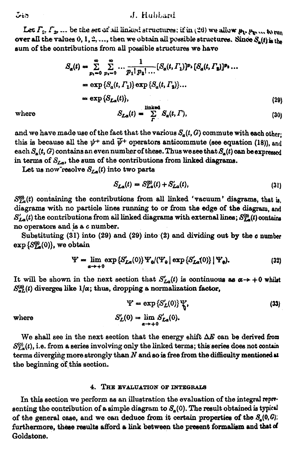### **J. Habband**

Let  $\Gamma$ .  $\Gamma$  ... be the set of all linked structures; if in (26) we allow  $y_1, y_2, ...$  to real over all the values 0. 1.2.... then we obtain all possible structures. Since  $S_n(t)$  is the sum of the contributions from all possible structures we have

$$
S_{a}(t) = \sum_{p_1=0}^{\infty} \sum_{p_2=0}^{\infty} \cdots \frac{1}{p_1! p_2! \cdots} [S_{a}(t, \Gamma_1)]^{p_1} [S_{a}(t, \Gamma_2)]^{p_2} \cdots
$$
  
\n
$$
= \exp \{S_{a}(t, \Gamma_1)\} \exp \{S_{a}(t, \Gamma_2)\} \cdots
$$
  
\n
$$
= \exp \{S_{La}(t)\}, \qquad (29)
$$
  
\n
$$
S_{La}(t) = \sum_{p_1=0}^{\infty} S_{a}(t, \Gamma), \qquad (30)
$$

where

and we have made use of the fact that the various  $S_n(t, G)$  commute with each otherthis is because all the  $\psi^+$  and  $\overline{\psi}^+$  operators anticommute (see equation (18)), and each  $S$ .  $(t, G)$  contains an even number of these. Thus we see that  $S$ .  $(t)$  can be expressed in terms of  $S_{r_{n}}$ , the sum of the contributions from linked diagrams.

Let us now resolve  $S_{r}(t)$  into two parts

$$
S_{La}(t) = S_{La}^{(0)}(t) + S_{La}'(t),
$$
\n(31)

 $S_{\alpha}^{\emptyset}(t)$  containing the contributions from all linked 'vacuum' diagrams, that is diagrams with no particle lines running to or from the edge of the diagram and  $S'$ , (t) the contributions from all linked diagrams with external lines:  $S_{\ell}^{0}$ , (t) contains no operators and is a c number.

Substituting  $(31)$  into  $(29)$  and  $(29)$  into  $(2)$  and dividing out by the  $c$  number  $\exp\left\{S\right\}^{0}(0)$ , we obtain

$$
\Psi = \lim_{\alpha \to +0} \exp \left\{ S'_{La}(0) \right\} \Psi_0 / (\Psi_0 \mid \exp \left\{ S'_{La}(0) \right\} \mid \Psi_0 \tag{32}
$$

It will be shown in the next section that  $S'_{r-1}(t)$  is continuous as  $\alpha \rightarrow +0$  whilst  $S_{\alpha}^{(0)}(t)$  diverges like  $1/\alpha$ ; thus, dropping a normalization factor.

$$
\Psi = \exp\left\{S'_{L}(0)\right\} \Psi,
$$
\n
$$
S'_{L}(0) = \lim_{a \to +0} S'_{La}(0).
$$
\n(33)

where

We shall see in the next section that the energy shift  $\Delta E$  can be derived from  $S_{\alpha}^{(0)}(t)$ , i.e. from a series involving only the linked terms; this series does not contain terms diverging more strongly than  $N$  and so is free from the difficulty mentioned at the beginning of this section.

# 4. THE EVALUATION OF INTEGRALS

In this section we perform as an illustration the evaluation of the integral representing the contribution of a simple diagram to  $S_a(0)$ . The result obtained is typical of the general case, and we can deduce from it certain properties of the  $S<sub>z</sub>(0, G)$ . furthermore, these results afford a link between the present formalism and that of Goldstone.

 $\tau_{\rm obs}$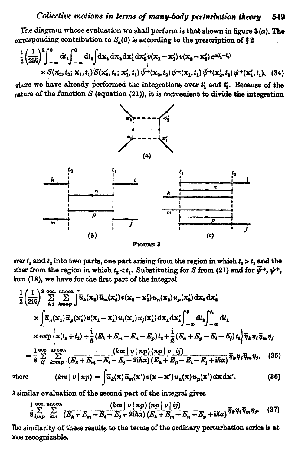#### Collective motions in terms of many-body perturbation theory 549

The diagram whose evaluation we shall perform is that shown in figure  $3(a)$ . The orresponding contribution to  $S_n(0)$  is according to the prescription of  $\S 2$ 

$$
\frac{1}{2} \left(\frac{1}{2iR}\right)^2 \int_{-\infty}^0 dt_1 \int_{-\infty}^0 dt_2 \int dx_1 dx_1 dx_2 dx_3' dx_4' \psi(x_1 - x_1') \psi(x_2 - x_2') e^{i\theta(1 + t_2)} \times S(x_2, t_2; x_1, t_1) S(x_2', t_2; x_1', t_1) \overline{\psi}^+(x_2, t_2) \psi^+(x_1, t_1) \overline{\psi}^+(x_2', t_2) \psi^+(x_1', t_1) \overline{\psi}^-(x_2', t_2) \psi^-(x_1', t_1) \overline{\psi}^-(x_2', t_1') \psi^-(x_2', t_1') \psi^-(x_2', t_1') \psi^-(x_2', t_1') \psi^-(x_2', t_1') \psi^-(x_2', t_1') \psi^-(x_2', t_1') \psi^-(x_2', t_1') \psi^-(x_2', t_1') \psi^-(x_2', t_1') \psi^-(x_2', t_1') \psi^-(x_2', t_1') \psi^-(x_2', t_1') \psi^-(x_2', t_1') \psi^-(x_2', t_1') \psi^-(x_2', t_1') \psi^-(x_2', t_1') \psi^-(x_2', t_1') \psi^-(x_2', t_1') \psi^-(x_2', t_1') \psi^-(x_2', t_1') \psi^-(x_2', t_1') \psi^-(x_2', t_1') \psi^-(x_2', t_1') \psi^-(x_2', t_1') \psi^-(x_2', t_1') \psi^-(x_2', t_1') \psi^-(x_2', t_1') \psi^-(x_2', t_1') \psi^-(x_2', t_1') \psi^-(x_2', t_1') \psi^-(x_2', t_1') \psi^-(x_2', t_1') \psi^-(x_2', t_1') \psi^-(x_2', t_1') \psi^-(x_2', t_1') \psi^-(x_2', t_1') \psi^-(x_2', t_1') \psi^-(x_2', t_1') \psi^-(x_2', t_1') \psi^-(x_2', t_1') \psi^-(x_2', t_1') \psi^-(x_2', t_1') \psi^-(x_2', t_1') \psi^-(x_2', t_
$$

where we have already performed the integrations over  $t'$ , and  $t'$ . Because of the  $\frac{1}{2}$  and  $\frac{1}{2}$  is the function  $S$  (equation (21)), it is convenient to divide the integration



over  $t$ , and  $t$ , into two parts, one part arising from the region in which  $t > t$ , and the other from the region in which  $t<sub>2</sub> < t<sub>1</sub>$ . Substituting for S from (21) and for  $\overline{\psi}$ +,  $\psi$ +, from (18), we have for the first part of the integral

$$
\frac{1}{2} \left(\frac{1}{2i\hbar}\right)^{2} \sum_{i,j}^{\infty} \sum_{\substack{\text{sump} \\ i,j}}^{\infty} \int \overline{u}_{k}(x_{j}) \overline{u}_{n}(x_{j}') v(x_{n} - x_{j}') u_{n}(x_{j}) u_{p}(x_{j}') dx_{1} dx_{j}'
$$
\n
$$
\times \int \overline{u}_{n}(x_{1}) \overline{u}_{p}(x_{j}') v(x_{1} - x_{1}') u_{i}(x_{1}) u_{j}(x_{1}') dx_{1} dx_{j}' \int_{-\infty}^{0} d t_{1} \int_{-\infty}^{t_{n}} d t_{1}
$$
\n
$$
\times \exp \left\{ a(t_{1} + t_{2}) + \frac{1}{\hbar} (B_{k} + E_{m} - E_{n} - E_{p}) t_{2} + \frac{1}{\hbar} (E_{n} + E_{p} - E_{i} - E_{j}) t_{1} \right\} \overline{\eta}_{k} \eta_{i} \overline{\eta}_{m} \eta_{j}
$$
\n
$$
= \frac{1}{8} \sum_{i,j}^{\infty} \sum_{\substack{\text{sump} \\ \text{sump} \text{sum}}^{\infty} \frac{1}{\hbar} \sum_{m}^{\infty} d t_{m} \overline{u}_{m} - \overline{E_{i} - E_{j}} + 2i\hbar\alpha \left( (E_{m} \mid v \mid ij) \right)} \left(\overline{u}_{m} \mid v \mid \overline{ij} \right)
$$
\n(35)\n
$$
\text{or} \qquad \text{(km } |v \mid np) = \left( \overline{u}_{k}(x) \overline{u}_{m}(x') v(x - x') u_{n}(x) u_{p}(x') dx dx'.
$$

 $\mathbf{r}$ 

A similar evaluation of the second part of the integral gives

$$
\frac{1}{8}\sum_{\substack{ij_{\text{AD}}\\(j_{\text{BD}}}}^{0.00,\text{ uncoon.}}\frac{(km\mid v\mid np)\left(np\right)\left(v\mid v\right)}{(E_{k}+E_{m}-E_{i}-E_{j}+2ik\alpha)\left(E_{k}+E_{m}-E_{n}-E_{p}+ik\alpha\right)}\overline{\eta}_{k}\eta_{i}\overline{\eta}_{m}\eta_{j}.
$$
 (37)

The similarity of these results to the terms of the ordinary perturbation series is at ence recognizable.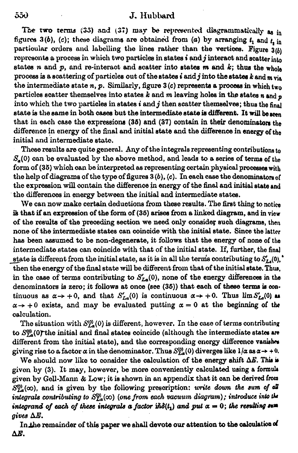### J. Hubbard

The two terms (35) and (37) may be represented diagrammatically as in figures 2(b). (c): these diagrams are obtained from (a) by arranging t, and t is  $\frac{1}{2}$  particular orders and labelling the lines rather than the vertices. Figure 214 ropresents a process in which two particles in states i and j interact and scatter into states  $n$  and  $n$ , and re-interact and scatter into states  $m$  and  $k$ ; thus the whole process is a scattering of particles out of the states i and i into the states k and m vis the intermediate state  $n, p$ . Similarly, figure  $3(c)$  represents a process in which two  $particles$  scatter themselves into states  $k$  and  $m$  leaving holes in the states  $n$  and  $n$ into which the two particles in states i and i then scatter themselves: thus the final state is the same in both cases but the intermediate state is different. It will be seen that in each case the expressions (35) and (37) contain in their denominators the difference in energy of the final and initial state and the difference in energy of the initial and intermediate state.

These results are quite general. Any of the integrals representing contributions to  $S(0)$  can be evaluated by the above method, and leads to a series of terms of the form of (35) which can be interpreted as representing certain physical processes with the beln of diagrams of the type of figures 3(b). (c). In each case the denominators of the expression will contain the difference in energy of the final and initial state and the differences in energy between the initial and intermediate states.

We can now make certain deductions from these results. The first thing to notice is that if an expression of the form of (35) arises from a linked diagram, and in view of the results of the preceding section we need only consider such diagrams, then none of the intermediate states can coincide with the initial state. Since the latter has been assumed to be non-degenerate, it follows that the energy of none of the intermediate states can coincide with that of the initial state. If, further, the final state is different from the initial state, as it is in all the terms contributing to  $S'_t$ . (0). then the energy of the final state will be different from that of the initial state. Thus in the case of terms contributing to  $S'_r$ . (0), none of the energy differences in the denominators is zero: it follows at once (see  $(35)$ ) that each of these terms is continuous as  $\alpha \rightarrow +0$ , and that  $S'_{r,s}(0)$  is continuous  $\alpha \rightarrow +0$ . Thus  $\lim S'_{r,s}(0)$  as  $\alpha \rightarrow +0$  exists, and may be evaluated putting  $\alpha = 0$  at the beginning of the calculation.

The situation with  $S_{\ell\kappa}^{(0)}(0)$  is different, however. In the case of terms contributing to S<sup>(9)</sup>.(0) the initial and final states coincide (although the intermediate states are different from the initial state), and the corresponding energy difference vanishes giving rise to a factor  $\alpha$  in the denominator. Thus  $S_{\alpha}^{(0)}(0)$  diverges like  $1/\alpha$  as  $\alpha \rightarrow +0$ .

We should now like to consider the calculation of the energy shift  $\Delta E$ . This is given by (3). It may, however, be more conveniently calculated using a formula given by Gell-Mann & Low; it is shown in an appendix that it can be derived from  $S_{l,a}^{(0)}(\infty)$ , and is given by the following prescription: write down the sum of all integrals contributing to  $S^0_{\ell_2}(\infty)$  (one from each vacuum diagram); introduce into the integrand of each of these integrals a factor in  $\delta(t_1)$  and put  $\alpha = 0$ ; the resulting sum  $\omega$  aives  $\Delta E$ .

In the remainder of this paper we shall devote our attention to the calculation of AE.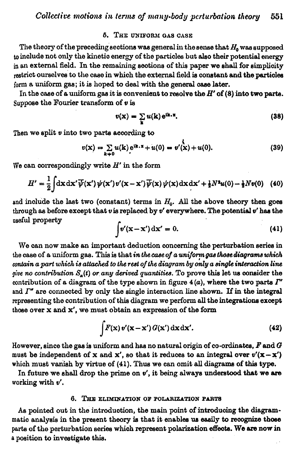### 5. THE INTEGRY GAS CASE

The theory of the preceding sections was general in the sense that  $H$ , was supposed to include not only the kinetic energy of the particles but also their potential energy in an external field. In the remaining sections of this paper we shall for simplicity wetrict ourselves to the case in which the external field is constant and the particles form a uniform gas: it is hoped to deal with the general case later.

 $\frac{1}{2}$  in the case of a uniform gas it is convenient to resolve the  $H'$  of  $(8)$  into two parts Suppose the Fourier transform of  $v$  is

$$
v(\mathbf{x}) = \sum_{\mathbf{k}} u(\mathbf{k}) e^{i\mathbf{k} \cdot \mathbf{x}}.
$$
 (38)

Then we split v into two parts according to

$$
v(\mathbf{x}) = \sum_{k \neq 0} u(\mathbf{k}) e^{i\mathbf{k} \cdot \mathbf{x}} + u(0) = v'(\mathbf{x}) + u(0).
$$
 (39)

We can correspondingly write  $H'$  in the form

$$
H' = \frac{1}{2} \int dx dx' \overline{\psi}(x') \psi(x') v'(x - x') \overline{\psi}(x) \psi(x) dx dx' + \frac{1}{2} N^2 u(0) - \frac{1}{2} N v(0) \quad (40)
$$

and include the last two (constant) terms in  $H<sub>o</sub>$ . All the above theory then goes through as before except that v is replaced by v'everywhere. The potential v' has the asaful property

$$
\int v'(x-x')\,\mathrm{d}x' = 0.\tag{41}
$$

We can now make an important deduction concerning the perturbation series in the case of a uniform gas. This is that in the case of a uniform gas those diagrams which contain a part which is attached to the rest of the diagram by only a single interaction line sive no contribution  $S_n(t)$  or any derived quantities. To prove this let us consider the contribution of a diagram of the type shown in figure  $4(a)$ , where the two parts  $\Gamma'$ and  $\Gamma''$  are connected by only the single interaction line shown. If in the integral representing the contribution of this diagram we perform all the integrations except those over x and x', we must obtain an expression of the form

$$
\int F(x) v'(x-x') G(x') dx dx'.
$$
 (42)

However, since the gas is uniform and has no natural origin of co-ordinates,  $F$  and  $G$ must be independent of x and x', so that it reduces to an integral over  $v'(\mathbf{x} - \mathbf{x}')$ which must vanish by virtue of (41). Thus we can omit all diagrams of this type.

In future we shall drop the prime on v', it being always understood that we are working with v'.

# 6. THE ELIMINATION OF POLARIZATION PARTS

As pointed out in the introduction, the main point of introducing the diagrammatic analysis in the present theory is that it enables us easily to recognize those parts of the perturbation series which represent polarization effects. We are now in a position to investigate this.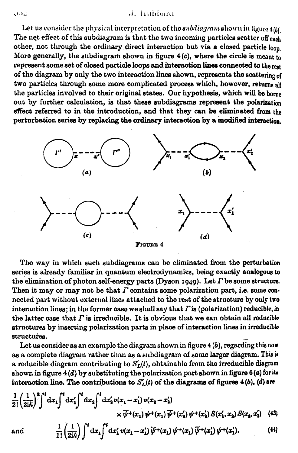### 4. Indiana

Let us consider the physical interpretation of the subdiagram shown in tigure 4th; The net effect of this subdiagram is that the two incoming particles scatter off each other, not through the ordinary direct interaction but via a closed particle loon More generally, the subdiagram shown in figure  $4(c)$ , where the circle is meant to represent some set of closed particle loops and interaction lines connected to the reat of the diagram by only the two interaction lines shown, represents the scattering of two particles through some more complicated process which, however, returns all the particles involved to their original states. Our hypothesis, which will be home out by further calculation, is that these subdiagrams represent the polarization effect referred to in the introduction, and that they can be eliminated from the perturbation series by replacing the ordinary interaction by a modified interaction



The way in which such subdiagrams can be eliminated from the perturbation series is already familiar in quantum electrodynamics, being exactly analogous to the elimination of photon self-energy parts (Dyson 1949). Let  $\Gamma$  be some structure. Then it may or may not be that  $\Gamma$  contains some polarization part, i.e. some connected part without external lines attached to the rest of the structure by only two interaction lines: in the former case we shall say that  $\Gamma$  is (polarization) reducible, in the latter case that  $\Gamma$  is irreducible. It is obvious that we can obtain all reducible structures by inserting polarization parts in place of interaction lines in irreducible structures.

Let us consider as an example the diagram shown in figure  $4(b)$ , regarding this now as a complete diagram rather than as a subdiagram of some larger diagram. This is a roducible diagram contributing to  $S'_L(t)$ , obtainable from the irreducible diagram shown in figure  $4(d)$  by substituting the polarization part shown in figure  $6(a)$  for its interaction line. The contributions to  $S'_L(t)$  of the diagrams of figures  $4(b)$ , (d) are

$$
\frac{1}{2!} \left(\frac{1}{2i\hbar}\right)^2 \int_0^1 dx_1 \int_0^1 dx_1' \int_0^1 dx_3' \int_0^1 dx_2' v(x_1 - x_1') v(x_2 - x_2')
$$
  
 
$$
\times \overline{\psi}^+(x_1) \overline{\psi}^+(x_2') \psi^+(x_3') v(x_4,x_3) S(x_1,x_2) \tag{43}
$$

and

$$
\frac{1}{1!}\left(\frac{1}{2i\lambda}\right)\int^t\mathrm{d}x_1\int^t\mathrm{d}x_1'\,v(x_1-x_1')\,\overline{\psi}^+(x_1)\,\psi^+(x_1)\,\overline{\psi}^+(x_1')\,\psi^+(x_1').\tag{44}
$$

 $(1, 1)$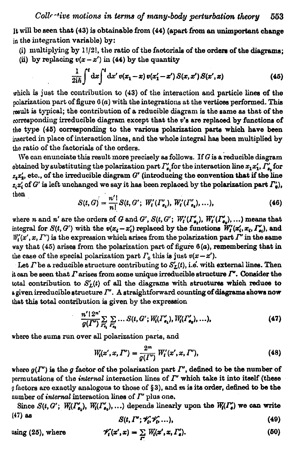Collective motions in terms of manu-hodu nerturbation theory 553

It will be seen that (43) is obtainable from (44) (apart from an unimportant change in the integration variable) by:

(i) multiplying by 1!/2!, the ratio of the factorials of the orders of the diagrams:

(ii) by replacing  $v(x-x')$  in (44) by the quantity

$$
\frac{1}{2i\hbar}\int^t dx \int^t dx' \, v(x_1-x) \, v(x_1'-x') \, S(x,x') \, S(x',x) \tag{45}
$$

which is just the contribution to  $(43)$  of the interaction and particle lines of the  $nolarization part of figure 6(a) with the interactions at the vertices performed. This$ meult is typical: the contribution of a reducible diagram is the same as that of the corresponding irreducible diagram except that the v's are replaced by functions of the type (45) corresponding to the various polarization parts which have been inserted in place of interaction lines, and the whole integral has been multiplied by the ratio of the factorials of the orders.

We can enunciate this result more precisely as follows. If  $G$  is a reducible diagram obtained by substituting the polarization part  $\Gamma'_n$  for the interaction line  $x_1x'_1$ ,  $\Gamma'_n$  for  $x_1x_2'$ , etc., of the irreducible diagram  $G'$  (introducing the convention that if the line  $x.x'$  of G' is left unchanged we say it has been replaced by the polarization part  $\Gamma'_0$ , then

$$
S(t, G) = \frac{n'}{n!} S(t, G'; W'_t(T'_{s_1}), W'_t(T'_{s_2}), \ldots),
$$
 (46)

where n and n' are the orders of G and G', S(t, G'; W'( $\Gamma'$ , ), W'( $\Gamma'$ ,),...) means that integral for  $S(t, G')$  with the  $v(x_i - x'_i)$  replaced by the functions  $W'_t(x'_i, x_i, I'')$ , and  $W(x', x, I'')$  is the expression which arises from the polarization part  $I''$  in the same way that  $(45)$  arises from the polarization part of figure 6(a), remembering that in the case of the special polarization part  $\Gamma_0$  this is just  $v(x-x')$ .

Let  $\Gamma$  be a reducible structure contributing to  $S'_T(t)$ , i.e. with external lines. Then it can be seen that  $\Gamma$  arises from some unique irreducible structure  $\Gamma^*$ . Consider the total contribution to  $S'_{\tau}(t)$  of all the diagrams with structures which reduce to a given irreducible atructure  $\Gamma'$ . A straightforward counting of diagrams shows now that this total contribution is given by the expression

$$
\frac{n' \, 2^{n'}}{g(I^{n})} \sum_{\Gamma_{n}} \sum_{\Gamma_{n}} \ldots S(t, G'; W_{t}(I'_{a_{1}}), W_{t}(I'_{a_{2}}), \ldots), \tag{47}
$$

where the sums run over all polarization parts, and

$$
W_{t}(x', x, \Gamma') = \frac{2^{m}}{g(\Gamma')} W_{t}'(x', x, \Gamma'), \qquad (48)
$$

where  $g(\Gamma')$  is the g factor of the polarization part  $\Gamma'$ , defined to be the number of permutations of the internal interaction lines of  $\Gamma'$  which take it into itself (these g factors are exactly analogous to those of §3), and  $m$  is its order, defined to be the number of *internal* interaction lines of  $\Gamma$  plus one.

Since  $S(t, G'; W(I''_*)$ ,  $W(I''_*)$ ,...) depends linearly upon the  $W_I(I'')$  we can write  $(47)$  as

$$
S(t, \Gamma^*, \mathscr{V}_b \mathscr{V}_b \dots), \tag{49}
$$

$$
\mathscr{V}_t(x',x)=\sum_{I'}W_t(x',x,\Gamma'_q). \qquad (50)
$$

using (25), where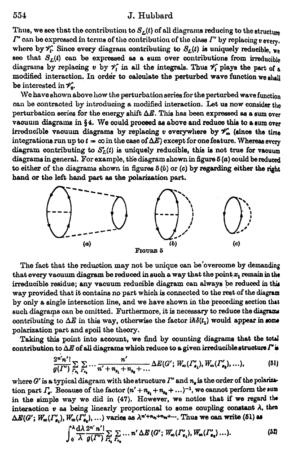# J Hubbard

Thus, we see that the contribution to  $S_r(t)$  of all diagrams reducing to the structure  $I'$  can be expressed in terms of the contribution of the class  $I'$  by replacing  $v$  avery. where by  $\mathscr{C}$ . Since every diagram contributing to  $S_r(t)$  is uniquely reducible see that  $S_r(t)$  can be expressed as a sum over contributions from irreducible diagrams by replacing  $v$  by  $\mathscr V$  in all the integrals. Thus  $\mathscr V$  plays the nart of modified interaction. In order to calculate the perturbed wave function we shall be interested in  $\mathscr{C}$ .

We have shown above how the perturbation series for the perturbed wave function can be contracted by introducing a modified interaction. Let us now consider the perturbation series for the energy shift  $\Delta E$ . This has been expressed as a sum over vacuum diagrams in §4. We could proceed as above and reduce this to a sum over irreducible vacuum diagrams by replacing v everywhere by  $\mathscr{V}_n$  (since the time integrations run up to  $t = \infty$  in the case of  $\Delta E$ ) except for one feature. Whereas every diagram contributing to  $S'_r(t)$  is uniquely reducible, this is not true for vacuum diagrams in general. For example, the diagram shown in figure  $5(a)$  could be reduced to either of the diagrams shown in figures  $5(b)$  or  $(c)$  by regarding either the right hand or the left hand part as the polarization part.



The fact that the reduction may not be unique can be overcome by demanding that every vacuum diagram be reduced in such a way that the point  $x_i$  remain in the irreducible residue: any vacuum reducible diagram can always be reduced in this way provided that it contains no part which is connected to the rest of the diagram by only a single interaction line, and we have shown in the preceding section that such diagrams can be omitted. Furthermore, it is necessary to reduce the diagrams contributing to  $\Delta E$  in this way, otherwise the factor i $\hbar \delta(t_1)$  would appear in some polarization part and spoil the theory.

Taking this point into account, we find by counting diagrams that the total contribution to  $\Delta E$  of all diagrams which reduce to a given irreducible structure  $\Gamma$  is

$$
\frac{2^{n'}n'}{g(I'')} \sum_{r_{k}} \sum_{r_{k}} \cdots \frac{n'}{n'+n_{s_{1}}+n_{s_{2}}+\cdots} \Delta E(G';\,W_{\infty}(I'_{s_{1}}),\,W_{\infty}(I'_{s_{2}}),\,\ldots),\tag{51}
$$

where  $G'$  is a typical diagram with the structure  $\Gamma'$  and  $n_s$  is the order of the polarization part  $\Gamma$ . Because of the factor  $(n' + n_{n} + n_{n} + ... )^{-1}$ , we cannot perform the sum in the simple way we did in (47). However, we notice that if we regard the interaction  $v$  as being linearly proportional to some coupling constant  $\lambda$ , then  $\Delta E(G'; W_{\infty}(\Gamma'_{n}), W_{\infty}(\Gamma'_{n}),...)$  varies as  $\lambda^{n'+n_{n}+n_{n}+\cdots}$ . Thus we can write (51) as

$$
\int_0^\lambda \frac{\mathrm{d}\lambda}{\lambda} \frac{2^{n'} n'!}{g(I'')} \sum_{\mathbf{r}'_{\mathbf{s}}} \sum_{\mathbf{r}_{\mathbf{s}}} \ldots n' \Delta E\left(G', W_{\mathbf{w}}(T'_{\mathbf{s}_1}), W_{\mathbf{w}}(T'_{\mathbf{s}_1}) \ldots\right).
$$
 (52)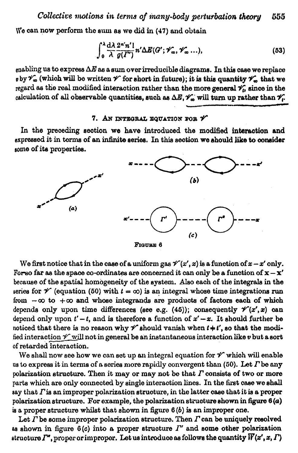Collective motions in terms of many-body perturbation theory 555 We can now perform the sum as we did in (47) and obtain

$$
\int_0^{\lambda} \frac{\mathrm{d}\lambda}{\lambda} \frac{2^{n'} n'}{g(\Gamma')}\, n' \Delta E(G'; \mathscr{V}_{\infty}, \mathscr{V}_{\infty} \ldots),\tag{53}
$$

enabling us to express  $\Delta E$  as a sum over irreducible diagrams. In this case we replace  $v$  by  $\mathscr{V}_n$  (which will be written  $\mathscr{V}$  for short in future); it is this quantity  $\mathscr{V}_n$  that we regard as the real modified interaction rather than the more general  $\mathscr{V}_n$  since in the calculation of all observable quantities, such as  $\Delta E \ll$  will turn un rather than  $\mathscr{L}$ .

### 7. AN INTEGRAT, EQUATION FOR Y

In the preceding section we have introduced the modified interaction and expressed it in terms of an infinite series. In this section we should like to consider some of its properties.



We first notice that in the case of a uniform gas  $\mathscr{V}(x',x)$  is a function of  $x-x'$  only. For so far as the space co-ordinates are concerned it can only be a function of  $x - x'$ because of the spatial homogeneity of the system. Also each of the integrals in the series for  $\mathscr V$  (equation (50) with  $t = \infty$ ) is an integral whose time integrations run from  $-\infty$  to  $+\infty$  and whose integrands are products of factors each of which depends only upon time differences (see e.g. (45)); consequently  $\mathscr{V}(x',x)$  can depend only upon  $t'-t$ , and is therefore a function of  $x'-x$ . It should further be noticed that there is no reason why  $\not\!\checkmark$  should vanish when  $t + t'$ , so that the modified interaction  $\not\!\checkmark$  will not in general be an instantaneous interaction like  $v$  but a sort of retarded interaction.

We shall now see how we can set up an integral equation for  $\mathscr V$  which will enable us to express it in terms of a series more rapidly convergent than (50). Let  $\Gamma$  be any polarization structure. Then it may or may not be that  $\Gamma$  consists of two or more parts which are only connected by single interaction lines. In the first case we shall say that  $\Gamma$  is an improper polarization structure, in the latter case that it is a proper polarization structure. For example, the polarization structure shown in figure  $6(a)$ is a proper structure whilst that shown in figure  $6(b)$  is an improper one.

Let  $\hat{\Gamma}$  be some improper polarization structure. Then  $\Gamma$  can be uniquely resolved as shown in figure  $6(c)$  into a proper structure  $\Gamma'$  and some other polarization structure  $\Gamma^*$ , proper or improper. Let us introduce as follows the quantity  $\overline{W}(x',x,\Gamma)$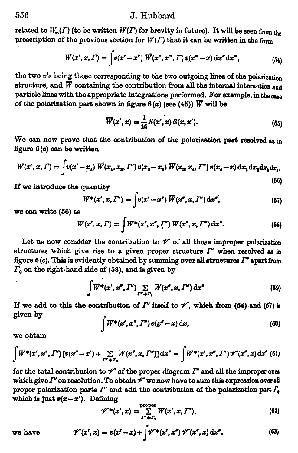# J Hubbard

related to  $W_n(\Gamma)$  (to be written  $W(\Gamma)$  for brevity in future). It will be seen from the prescription of the provious section for  $W(\Gamma)$  that it can be written in the form

$$
W(x', x, \Gamma) = \int v(x' - x'') \overline{W}(x'', x''', \Gamma) v(x''' - x) dx'' dx''',
$$
\n(54)

the two v's being those corresponding to the two outgoing lines of the polarization structure, and  $\overline{W}$  containing the contribution from all the internal interaction and particle lines with the appropriate integrations performed. For example, in the case of the polarization part shown in figure  $6(a)$  (see (45))  $\overline{W}$  will be

$$
\overline{W}(x',x)=\frac{1}{i\hbar}S(x',x)\overline{S}(x,x').
$$
\n(55)

We can now prove that the contribution of the polarization part resolved as in figure 6(c) can be written

$$
W(x',x,I') = \int v(x'-x_1) \; \overline{W}(x_1,x_2,I') \; v(x_2-x_2) \; \overline{W}(x_3,x_4,I'') \; v(x_4-x) \, dx_1 dx_4 dx_5 dx_1.
$$
\n(68)

If we introduce the quantity

$$
\overline{W}^*(x',x,\Gamma')=\int v(x'-x')\,\overline{W}(x'',x,\Gamma')\,\mathrm{d}x'',\qquad(57)
$$

we can write (56) as

$$
\overline{W}(x',x,\Gamma)=\int W^*(x',x'',\Gamma'') W(x'',x,\Gamma'') dx''.
$$
 (58)

Let us now consider the contribution to  $\mathscr V$  of all those improper polarization structures which give rise to a given proper structure  $\Gamma'$  when resolved as in figure  $6(c)$ . This is evidently obtained by summing over all structures  $I^*$  apart from  $\overline{\Gamma_0}$  on the right-hand side of (58), and is given by

$$
\int W^*(x',x'',I'')\sum_{\Gamma'\neq\Gamma_0}W(x'',x,I'')\,\mathrm{d}x''\tag{59}
$$

If we add to this the contribution of  $\Gamma'$  itself to  $\mathscr{V}$ , which from (54) and (57) is given by

$$
\int W^*(x',x'',I'')\,v(x''-x)\,\mathrm{d}x,\qquad\qquad(60)
$$

we obtain

$$
\int W^*(x',x'',I'')\left[v(x''-x')+\sum_{I''+I*}W(x'',x,I'')\right]\mathrm{d}x''=\int W^*(x',x'',I'')\mathscr{V}(x'',x)\mathrm{d}x''\tag{61}
$$

for the total contribution to  $\mathscr V$  of the proper diagram  $\varGamma'$  and all the improper ones which give  $\Gamma'$  on resolution. To obtain  $\gamma'$  we now have to sum this expression over all proper polarization parts  $\Gamma'$  and add the contribution of the polarization part  $\Gamma_a$ which is just  $v(x-x')$ . Defining

$$
\mathscr{V}^*(x',x) = \sum_{\Gamma \vdash \Gamma_*}^{\text{proper}} W(x',x,\Gamma'),\tag{62}
$$

$$
\mathscr{S}(x',x) = v(x'-x) + \int \mathscr{S}^{*}(x',x') \mathscr{S}(x'',x) dx''.
$$
 (63)

we have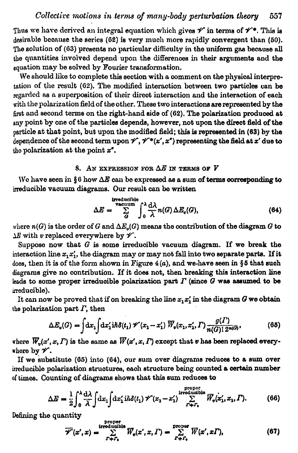Thus we have derived an integral equation which gives  $\mathscr V$  in terms of  $\mathscr V^*$ . This is desirable because the series (62) is very much more rapidly convergent than (50). The solution of (63) presents no particular difficulty in the uniform gas because all the quantities involved depend upon the differences in their arguments and the equation may be solved by Fourier transformation.

We should like to complete this section with a comment on the physical interpretation of the result (62). The modified interaction between two particles can be regarded as a superposition of their direct interaction and the interaction of each with the polarization field of the other. These two interactions are represented by the first and second terms on the right-hand side of (62). The polarization produced at any point by one of the particles depends, however, not upon the direct field of the particle at that point, but upon the modified field; this is represented in (63) by the dependence of the second term upon  $\mathscr{V}$ .  $\mathscr{V}^*(x', x'')$  representing the field at x' due to the polarization at the point  $x^*$ .

### 8. AN EXPRESSION FOR  $\Delta E$  IN TERMS OF  $V$

We have seen in §6 how  $\Delta E$  can be expressed as a sum of terms corresponding to ireducible vacuum diagrams. Our result can be written

$$
\Delta E = \sum_{G}^{\text{recauchlo}} \int_{0}^{\lambda} \frac{\mathrm{d}\lambda}{\lambda} n(G) \, \Delta E_{\text{e}}(G), \tag{64}
$$

where  $n(G)$  is the order of G and  $\Delta E(G)$  means the contribution of the diagram G to  $\Delta E$  with v replaced everywhere by  $\mathscr V$ .

Suppose now that  $G$  is some irreducible vacuum diagram. If we break the interaction line  $x, x'$ , the diagram may or may not fall into two separate parts. If it does, then it is of the form shown in Figure  $4(a)$ , and we have seen in  $6\overline{6}$  that such diagrams give no contribution. If it does not, then breaking this interaction line leads to some proper irreducible polarization part  $\Gamma$  (since  $G$  was assumed to be irreducible).

It can now be proved that if on breaking the line  $x, x'$  in the diagram  $G$  we obtain the polarization part  $\Gamma$ , then

$$
\Delta E_v(G) = \int dx_1 \int dx'_1 i\hbar \delta(t_1) \mathscr{V}(x_1 - x'_1) \overline{W}_v(x_1, x'_1, \Gamma) \frac{g(\Gamma)}{n(G)[2^{n(G)}},
$$
(65)

where  $\overline{W}_n(x',x,\Gamma)$  is the same as  $\overline{W}(x',x,\Gamma)$  except that v has been replaced everywhere by  $\nu'$ .

If we substitute  $(65)$  into  $(64)$ , our sum over diagrams reduces to a sum over ireducible polarization structures, each structure being counted a certain number of times. Counting of diagrams shows that this sum reduces to

$$
\Delta E = \frac{1}{2} \int_0^{\lambda} \frac{d\lambda}{\lambda} \int dx_1 \int dx_1' i\hbar \delta(t_1) \mathcal{V}(x_1 - x_1') \sum_{\substack{\lambda \to \lambda \\ \lambda \to \ell}}^{\text{irreducible}} \overline{W}_v(x_1', x_1, \Gamma). \tag{66}
$$

Defining the quantity

$$
\overline{\mathscr{F}}(x',x) = \sum_{\substack{1 \text{ probabilities} \\ \Gamma \neq \Gamma_4}}^{\text{irreducible}} \overline{W}_q(x',x,\Gamma) = \sum_{\substack{1 \text{ otherwise} \\ \Gamma \neq \Gamma_4}}^{\text{proper}} \overline{W}(x',x\Gamma),\tag{67}
$$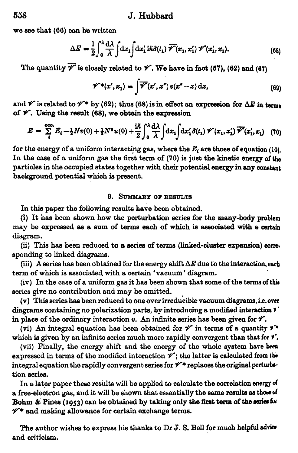we see that (66) can be written

$$
\Delta E = \frac{1}{2} \int_0^{\lambda} \frac{\mathrm{d}\lambda}{\lambda} \int \mathrm{d}x_1 \int \mathrm{d}x'_1 \, \mathrm{i} \hbar \delta(t_1) \, \overline{\mathscr{F}}(x_1, x'_1) \, \mathscr{V}(x'_1, x_1). \tag{68}
$$

The quantity  $\widetilde{\mathscr{V}}$  is closely related to  $\mathscr{V}$ . We have in fact (57), (62) and (67)

$$
\mathscr{V}^*(x',x_1)=\int \overline{\mathscr{V}}(x',x'')\,v(x''-x)\,\mathrm{d}x,\qquad(69)
$$

and  $\mathscr V$  is related to  $\mathscr V^*$  by (62); thus (68) is in effect an expression for  $\Delta E$  in terms of  $\mathscr V$ . Using the result (68), we obtain the expression

$$
E = \sum_{i}^{\infty} E_i - \frac{1}{2} N v(0) + \frac{1}{2} N^2 u(0) + \frac{i\hbar}{2} \int_0^{\lambda} \frac{d\lambda}{\lambda} \int dx_i \int dx_i \delta(t_1) \mathscr{V}(x_1, x_1') \overline{\mathscr{V}}(x_1', x_1) \tag{70}
$$

for the energy of a uniform interacting gas, where the  $E$ , are those of equation (10) In the case of a uniform gas the first term of  $(70)$  is just the kinetic energy of the particles in the occupied states together with their potential energy in any constant background potential which is present.

# 9. SUMMARY OF RESULTS

In this paper the following results have been obtained.

(i) It has been shown how the perturbation series for the many-body problem may be expressed as a sum of terms each of which is associated with a certain diagram.

(ii) This has been reduced to a series of terms (linked-cluster expansion) corresponding to linked diagrams.

(iii) A series has been obtained for the energy shift  $\Delta E$  due to the interaction, each term of which is associated with a certain 'vacuum' diagram.

(iv) In the case of a uniform gas it has been shown that some of the terms of this series give no contribution and may be omitted.

 $(v)$  This series has been reduced to one over irreducible vacuum diagrams, i.e. over diagrams containing no polarization parts, by introducing a modified interaction  $\prime$ in place of the ordinary interaction v. An infinite series has been given for  $\mathscr V$ .

(vi) An integral equation has been obtained for  $\mathscr V$  in terms of a quantity  $\mathscr V^*$ which is given by an infinite series much more rapidly convergent than that for  $\prime$ .

(vii) Finally, the energy shift and the energy of the whole system have been expressed in terms of the modified interaction  $\check{\mathscr{V}}$ ; the latter is calculated from the integral equation the rapidly convergent series for  $\mathscr{V}^*$  replaces the original perturbation series.

In a later paper these results will be applied to calculate the correlation energy of a free-electron gas, and it will be shown that essentially the same results as those of Bohm & Pines (1953) can be obtained by taking only the first term of the series for  $\nu^*$  and making allowance for certain exchange terms.

The author wishes to express his thanks to Dr J. S. Bell for much helpful advice and criticism.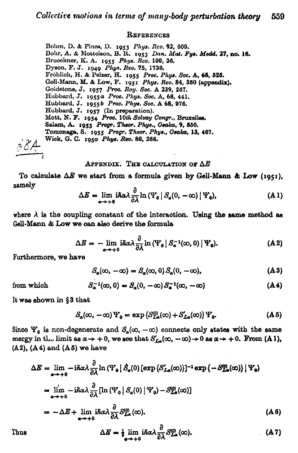### **REFERENCES**

Bohm, D. & Pines, D. 1953 Phys. Rev. 92, 609. Bohr, A. & Mottolson, B. R. 1953 Dan. Mat. Fys. Medd. 27, no. 16. Brucokner, K. A. 1955 Phus. Rev. 100, 36. Dyson, F. J., 1040, Phus, Rev. 75, 1736. Fröhlich, H. & Pelzer, H. 1955 Proc. Phys. Soc. A. 68. 525. Gell-Mann, M. & Low. F. 1955 Phys. Rev. 84, 350 (appendix). Goldstone, J. 1957 Proc. Roy. Soc. A 239, 267. Hubbard, J. 1055a Proc. Phus, Soc. A. 68, 441. Hubbard, J. 1955b Proc. Phys. Soc. A 68, 976. Hubbard, J. 1957 (In preparation).<br>Mott, N. F. 1954 Proc. 10th Solvay Congr.. Bruxelles. Salam, A. 1051 Proor, Theor, Phys., Osaka, 9, 550. Tomonaga, S. 1955 Progr. Theor. Phys., Osaka, 13, 467. Wick, G. C. 1050 Phys. Rev. 80, 268.

$$
\underline{\underline{\mathfrak{soA}}}
$$

### APPENDIX. THE CALCULATION OF  $\Lambda E$

To calculate  $\Delta E$  we start from a formula given by Gell-Mann & Low (1951). namely

$$
\Delta E = \lim_{\alpha \to +0} i\hbar \alpha \lambda \frac{\partial}{\partial \lambda} \ln \left( \Psi_0 \, \middle| \, S_\alpha(0, -\infty) \, \middle| \, \Psi_0 \right), \tag{A1}
$$

where  $\lambda$  is the coupling constant of the interaction. Using the same method as Call-Mann & Low we can also derive the formula

$$
\Delta E = -\lim_{a \to +0} i\hbar \alpha \lambda \frac{\partial}{\partial \lambda} \ln \left( \Psi_0 \, \middle| \, S_a^{-1}(\infty, 0) \, \middle| \, \Psi_0 \right). \tag{A2}
$$

Furthermore, we have

$$
S_{\alpha}(\infty, -\infty) = S_{\alpha}(\infty, 0) S_{\alpha}(0, -\infty), \tag{A3}
$$

$$
S_{\alpha}^{-1}(\infty,0)=S_{\alpha}(0,-\infty)S_{\alpha}^{-1}(\infty,-\infty)
$$
 (A4)

It was shown in §3 that

from which

$$
S_a(\infty, -\infty) \, \Psi_0 = \exp \left\{ S_{La}^{\omega}(\infty) + S_{La}'(\infty) \right\} \Psi_0.
$$
 (A5)

Since  $\Psi_{\alpha}$  is non-degenerate and  $S_{\alpha}(\infty, -\infty)$  connects only states with the same energy in the limit as  $\alpha \to +0$ , we see that  $S'_{r-1}(\infty, -\infty) \to 0$  as  $\alpha \to +0$ . From (A1),  $(A2)$ ,  $(A4)$  and  $(A5)$  we have

$$
\Delta E = \lim_{\epsilon \to +0} -i\hbar \alpha \lambda \frac{\partial}{\partial \lambda} \ln (\Psi_{\mathbf{e}} | \dot{S}_{\mathbf{e}}(0) [\exp \{ S'_{L\mathbf{e}}(\infty) \} ]^{-1} \exp \{-\delta \underline{\mathfrak{P}}_{\mathbf{e}}(\infty) \} | \Psi_{\mathbf{e}})
$$
  
\n
$$
= \lim_{\epsilon \to +0} -i\hbar \alpha \lambda \frac{\partial}{\partial \lambda} [\ln (\Psi_{\mathbf{e}} | S_{\mathbf{e}}(0) | \Psi_{\mathbf{0}}) - S \underline{\mathfrak{P}}_{\mathbf{e}}(\infty)]
$$
  
\n
$$
= -\Delta E + \lim_{\epsilon \to +0} i\hbar \alpha \lambda \frac{\partial}{\partial \lambda} S \underline{\mathfrak{P}}_{\mathbf{e}}(\infty).
$$
 (A 0)

Thus

$$
\Delta E = \frac{1}{2} \lim_{a \to +0} i\hbar \alpha \lambda \frac{\partial}{\partial \lambda} S_{\lambda a}^{\omega}(\infty). \tag{A.7}
$$